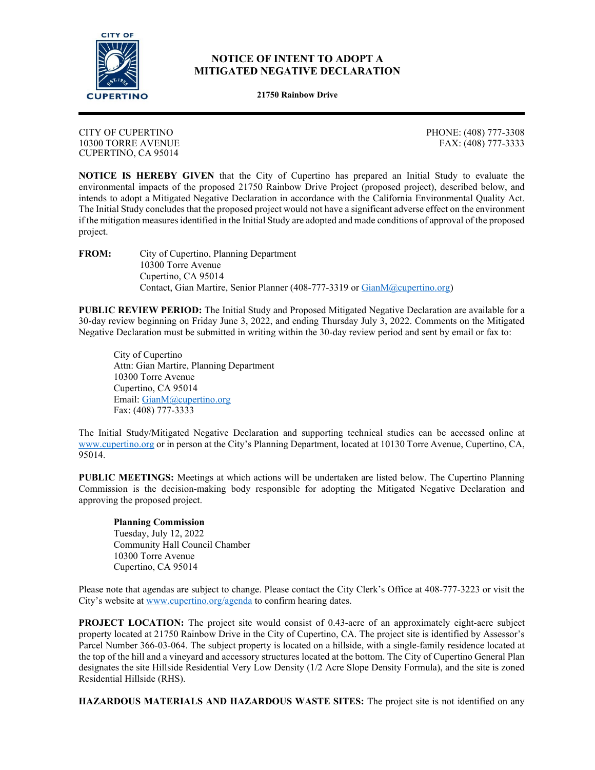

## **NOTICE OF INTENT TO ADOPT A MITIGATED NEGATIVE DECLARATION**

**21750 Rainbow Drive**

CITY OF CUPERTINO 10300 TORRE AVENUE CUPERTINO, CA 95014

PHONE: (408) 777-3308 FAX: (408) 777-3333

**NOTICE IS HEREBY GIVEN** that the City of Cupertino has prepared an Initial Study to evaluate the environmental impacts of the proposed 21750 Rainbow Drive Project (proposed project), described below, and intends to adopt a Mitigated Negative Declaration in accordance with the California Environmental Quality Act. The Initial Study concludes that the proposed project would not have a significant adverse effect on the environment if the mitigation measures identified in the Initial Study are adopted and made conditions of approval of the proposed project.

**FROM:** City of Cupertino, Planning Department 10300 Torre Avenue Cupertino, CA 95014 Contact, Gian Martire, Senior Planner (408-777-3319 or Gian[M@cupertino.org\)](mailto:ErikS@cupertino.org)

**PUBLIC REVIEW PERIOD:** The Initial Study and Proposed Mitigated Negative Declaration are available for a 30-day review beginning on Friday June 3, 2022, and ending Thursday July 3, 2022. Comments on the Mitigated Negative Declaration must be submitted in writing within the 30-day review period and sent by email or fax to:

City of Cupertino Attn: Gian Martire, Planning Department 10300 Torre Avenue Cupertino, CA 95014 Email: [GianM@cupertino.org](mailto:GianM@cupertino.org) Fax: (408) 777-3333

The Initial Study/Mitigated Negative Declaration and supporting technical studies can be accessed online at [www.cupertino.org](http://www.cupertino.org/) or in person at the City's Planning Department, located at 10130 Torre Avenue, Cupertino, CA, 95014.

**PUBLIC MEETINGS:** Meetings at which actions will be undertaken are listed below. The Cupertino Planning Commission is the decision-making body responsible for adopting the Mitigated Negative Declaration and approving the proposed project.

**Planning Commission** Tuesday, July 12, 2022 Community Hall Council Chamber 10300 Torre Avenue Cupertino, CA 95014

Please note that agendas are subject to change. Please contact the City Clerk's Office at 408-777-3223 or visit the City's website a[t www.cupertino.org/agenda](http://www.cupertino.org/agenda) to confirm hearing dates.

**PROJECT LOCATION:** The project site would consist of 0.43-acre of an approximately eight-acre subject property located at 21750 Rainbow Drive in the City of Cupertino, CA. The project site is identified by Assessor's Parcel Number 366-03-064. The subject property is located on a hillside, with a single-family residence located at the top of the hill and a vineyard and accessory structures located at the bottom. The City of Cupertino General Plan designates the site Hillside Residential Very Low Density (1/2 Acre Slope Density Formula), and the site is zoned Residential Hillside (RHS).

**HAZARDOUS MATERIALS AND HAZARDOUS WASTE SITES:** The project site is not identified on any